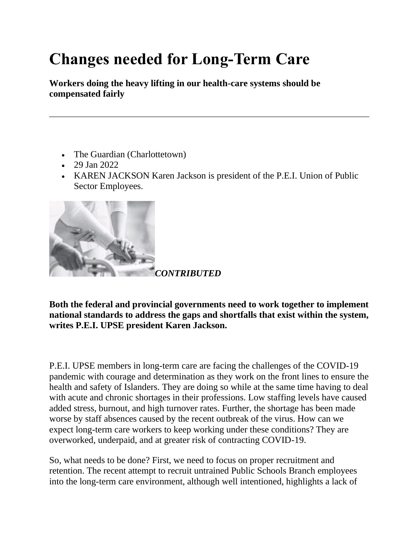## **Changes needed for Long-Term Care**

**Workers doing the heavy lifting in our health-care systems should be compensated fairly**

- The Guardian (Charlottetown)
- 29 Jan 2022
- KAREN JACKSON Karen Jackson is president of the P.E.I. Union of Public Sector Employees.



**Both the federal and provincial governments need to work together to implement national standards to address the gaps and shortfalls that exist within the system, writes P.E.I. UPSE president Karen Jackson.**

P.E.I. UPSE members in long-term care are facing the challenges of the COVID-19 pandemic with courage and determination as they work on the front lines to ensure the health and safety of Islanders. They are doing so while at the same time having to deal with acute and chronic shortages in their professions. Low staffing levels have caused added stress, burnout, and high turnover rates. Further, the shortage has been made worse by staff absences caused by the recent outbreak of the virus. How can we expect long-term care workers to keep working under these conditions? They are overworked, underpaid, and at greater risk of contracting COVID-19.

So, what needs to be done? First, we need to focus on proper recruitment and retention. The recent attempt to recruit untrained Public Schools Branch employees into the long-term care environment, although well intentioned, highlights a lack of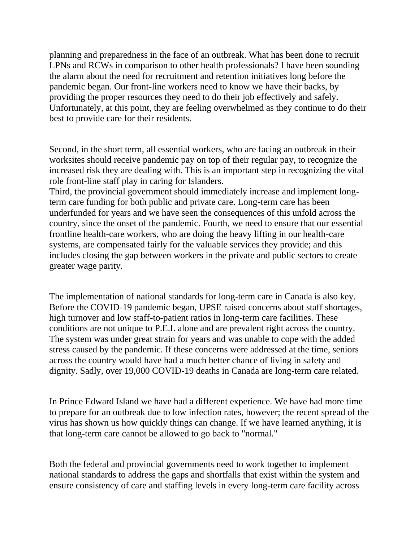planning and preparedness in the face of an outbreak. What has been done to recruit LPNs and RCWs in comparison to other health professionals? I have been sounding the alarm about the need for recruitment and retention initiatives long before the pandemic began. Our front-line workers need to know we have their backs, by providing the proper resources they need to do their job effectively and safely. Unfortunately, at this point, they are feeling overwhelmed as they continue to do their best to provide care for their residents.

Second, in the short term, all essential workers, who are facing an outbreak in their worksites should receive pandemic pay on top of their regular pay, to recognize the increased risk they are dealing with. This is an important step in recognizing the vital role front-line staff play in caring for Islanders.

Third, the provincial government should immediately increase and implement longterm care funding for both public and private care. Long-term care has been underfunded for years and we have seen the consequences of this unfold across the country, since the onset of the pandemic. Fourth, we need to ensure that our essential frontline health-care workers, who are doing the heavy lifting in our health-care systems, are compensated fairly for the valuable services they provide; and this includes closing the gap between workers in the private and public sectors to create greater wage parity.

The implementation of national standards for long-term care in Canada is also key. Before the COVID-19 pandemic began, UPSE raised concerns about staff shortages, high turnover and low staff-to-patient ratios in long-term care facilities. These conditions are not unique to P.E.I. alone and are prevalent right across the country. The system was under great strain for years and was unable to cope with the added stress caused by the pandemic. If these concerns were addressed at the time, seniors across the country would have had a much better chance of living in safety and dignity. Sadly, over 19,000 COVID-19 deaths in Canada are long-term care related.

In Prince Edward Island we have had a different experience. We have had more time to prepare for an outbreak due to low infection rates, however; the recent spread of the virus has shown us how quickly things can change. If we have learned anything, it is that long-term care cannot be allowed to go back to "normal."

Both the federal and provincial governments need to work together to implement national standards to address the gaps and shortfalls that exist within the system and ensure consistency of care and staffing levels in every long-term care facility across